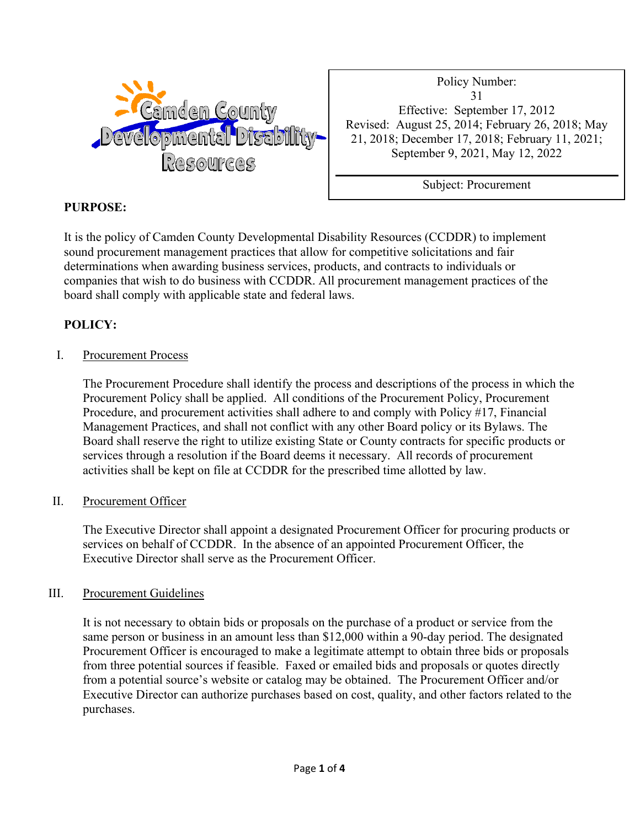

Policy Number: 31 Effective: September 17, 2012 Revised: August 25, 2014; February 26, 2018; May 21, 2018; December 17, 2018; February 11, 2021; September 9, 2021, May 12, 2022

Subject: Procurement

# **PURPOSE:**

It is the policy of Camden County Developmental Disability Resources (CCDDR) to implement sound procurement management practices that allow for competitive solicitations and fair determinations when awarding business services, products, and contracts to individuals or companies that wish to do business with CCDDR. All procurement management practices of the board shall comply with applicable state and federal laws.

## **POLICY:**

## I. Procurement Process

The Procurement Procedure shall identify the process and descriptions of the process in which the Procurement Policy shall be applied. All conditions of the Procurement Policy, Procurement Procedure, and procurement activities shall adhere to and comply with Policy #17, Financial Management Practices, and shall not conflict with any other Board policy or its Bylaws. The Board shall reserve the right to utilize existing State or County contracts for specific products or services through a resolution if the Board deems it necessary. All records of procurement activities shall be kept on file at CCDDR for the prescribed time allotted by law.

## II. Procurement Officer

The Executive Director shall appoint a designated Procurement Officer for procuring products or services on behalf of CCDDR. In the absence of an appointed Procurement Officer, the Executive Director shall serve as the Procurement Officer.

## III. Procurement Guidelines

It is not necessary to obtain bids or proposals on the purchase of a product or service from the same person or business in an amount less than \$12,000 within a 90-day period. The designated Procurement Officer is encouraged to make a legitimate attempt to obtain three bids or proposals from three potential sources if feasible. Faxed or emailed bids and proposals or quotes directly from a potential source's website or catalog may be obtained. The Procurement Officer and/or Executive Director can authorize purchases based on cost, quality, and other factors related to the purchases.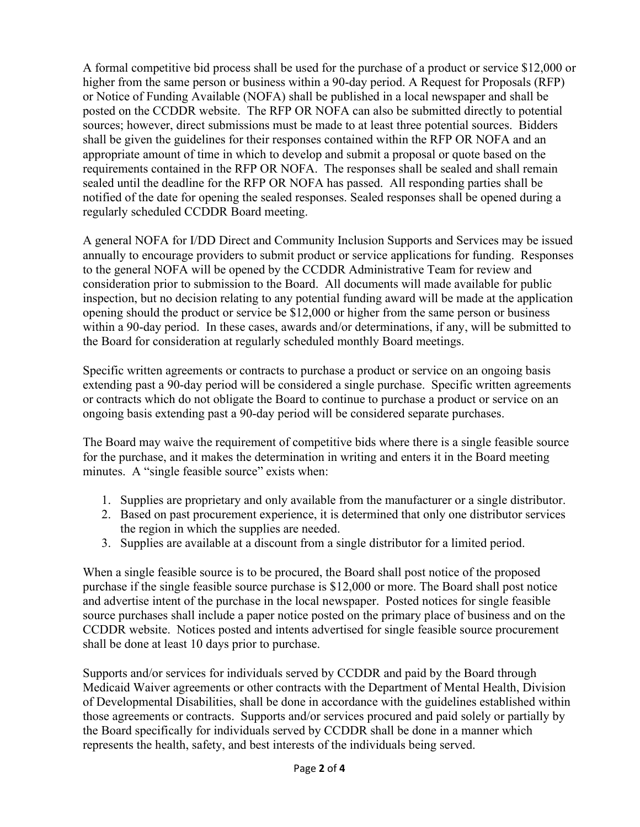A formal competitive bid process shall be used for the purchase of a product or service \$12,000 or higher from the same person or business within a 90-day period. A Request for Proposals (RFP) or Notice of Funding Available (NOFA) shall be published in a local newspaper and shall be posted on the CCDDR website. The RFP OR NOFA can also be submitted directly to potential sources; however, direct submissions must be made to at least three potential sources. Bidders shall be given the guidelines for their responses contained within the RFP OR NOFA and an appropriate amount of time in which to develop and submit a proposal or quote based on the requirements contained in the RFP OR NOFA. The responses shall be sealed and shall remain sealed until the deadline for the RFP OR NOFA has passed. All responding parties shall be notified of the date for opening the sealed responses. Sealed responses shall be opened during a regularly scheduled CCDDR Board meeting.

A general NOFA for I/DD Direct and Community Inclusion Supports and Services may be issued annually to encourage providers to submit product or service applications for funding. Responses to the general NOFA will be opened by the CCDDR Administrative Team for review and consideration prior to submission to the Board. All documents will made available for public inspection, but no decision relating to any potential funding award will be made at the application opening should the product or service be \$12,000 or higher from the same person or business within a 90-day period. In these cases, awards and/or determinations, if any, will be submitted to the Board for consideration at regularly scheduled monthly Board meetings.

Specific written agreements or contracts to purchase a product or service on an ongoing basis extending past a 90-day period will be considered a single purchase. Specific written agreements or contracts which do not obligate the Board to continue to purchase a product or service on an ongoing basis extending past a 90-day period will be considered separate purchases.

The Board may waive the requirement of competitive bids where there is a single feasible source for the purchase, and it makes the determination in writing and enters it in the Board meeting minutes. A "single feasible source" exists when:

- 1. Supplies are proprietary and only available from the manufacturer or a single distributor.
- 2. Based on past procurement experience, it is determined that only one distributor services the region in which the supplies are needed.
- 3. Supplies are available at a discount from a single distributor for a limited period.

When a single feasible source is to be procured, the Board shall post notice of the proposed purchase if the single feasible source purchase is \$12,000 or more. The Board shall post notice and advertise intent of the purchase in the local newspaper. Posted notices for single feasible source purchases shall include a paper notice posted on the primary place of business and on the CCDDR website. Notices posted and intents advertised for single feasible source procurement shall be done at least 10 days prior to purchase.

Supports and/or services for individuals served by CCDDR and paid by the Board through Medicaid Waiver agreements or other contracts with the Department of Mental Health, Division of Developmental Disabilities, shall be done in accordance with the guidelines established within those agreements or contracts. Supports and/or services procured and paid solely or partially by the Board specifically for individuals served by CCDDR shall be done in a manner which represents the health, safety, and best interests of the individuals being served.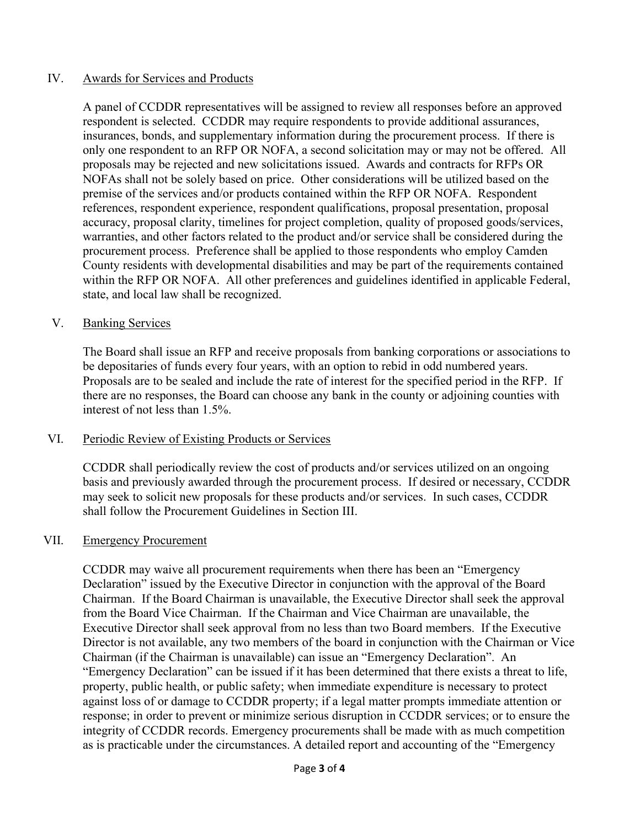#### IV. Awards for Services and Products

A panel of CCDDR representatives will be assigned to review all responses before an approved respondent is selected. CCDDR may require respondents to provide additional assurances, insurances, bonds, and supplementary information during the procurement process. If there is only one respondent to an RFP OR NOFA, a second solicitation may or may not be offered. All proposals may be rejected and new solicitations issued. Awards and contracts for RFPs OR NOFAs shall not be solely based on price. Other considerations will be utilized based on the premise of the services and/or products contained within the RFP OR NOFA. Respondent references, respondent experience, respondent qualifications, proposal presentation, proposal accuracy, proposal clarity, timelines for project completion, quality of proposed goods/services, warranties, and other factors related to the product and/or service shall be considered during the procurement process. Preference shall be applied to those respondents who employ Camden County residents with developmental disabilities and may be part of the requirements contained within the RFP OR NOFA. All other preferences and guidelines identified in applicable Federal, state, and local law shall be recognized.

#### V. Banking Services

The Board shall issue an RFP and receive proposals from banking corporations or associations to be depositaries of funds every four years, with an option to rebid in odd numbered years. Proposals are to be sealed and include the rate of interest for the specified period in the RFP. If there are no responses, the Board can choose any bank in the county or adjoining counties with interest of not less than 1.5%.

#### VI. Periodic Review of Existing Products or Services

CCDDR shall periodically review the cost of products and/or services utilized on an ongoing basis and previously awarded through the procurement process. If desired or necessary, CCDDR may seek to solicit new proposals for these products and/or services. In such cases, CCDDR shall follow the Procurement Guidelines in Section III.

#### VII. Emergency Procurement

CCDDR may waive all procurement requirements when there has been an "Emergency Declaration" issued by the Executive Director in conjunction with the approval of the Board Chairman. If the Board Chairman is unavailable, the Executive Director shall seek the approval from the Board Vice Chairman. If the Chairman and Vice Chairman are unavailable, the Executive Director shall seek approval from no less than two Board members. If the Executive Director is not available, any two members of the board in conjunction with the Chairman or Vice Chairman (if the Chairman is unavailable) can issue an "Emergency Declaration". An "Emergency Declaration" can be issued if it has been determined that there exists a threat to life, property, public health, or public safety; when immediate expenditure is necessary to protect against loss of or damage to CCDDR property; if a legal matter prompts immediate attention or response; in order to prevent or minimize serious disruption in CCDDR services; or to ensure the integrity of CCDDR records. Emergency procurements shall be made with as much competition as is practicable under the circumstances. A detailed report and accounting of the "Emergency